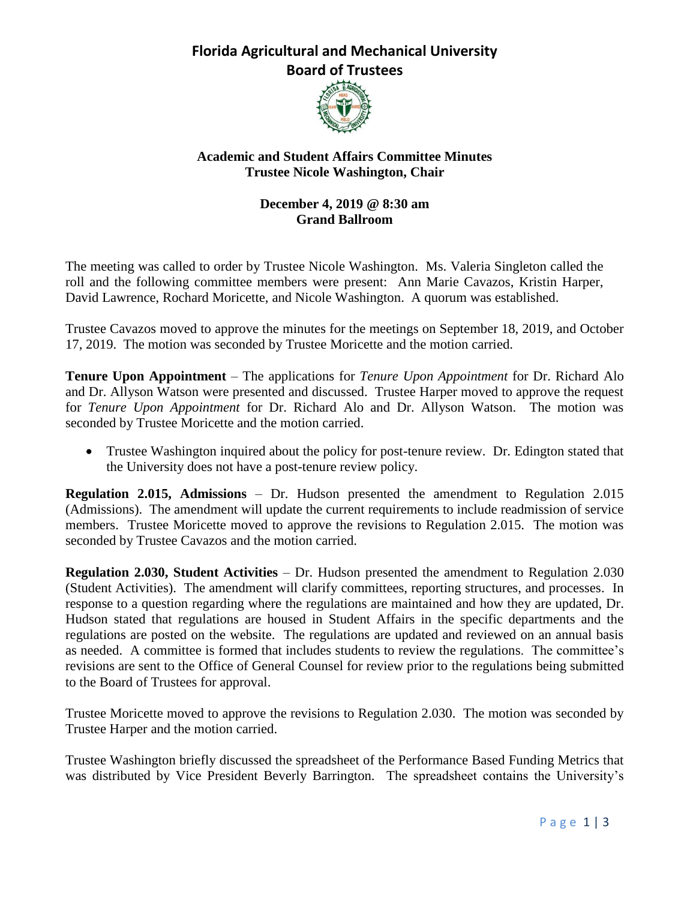# **Florida Agricultural and Mechanical University Board of Trustees**



### **Academic and Student Affairs Committee Minutes Trustee Nicole Washington, Chair**

### **December 4, 2019 @ 8:30 am Grand Ballroom**

The meeting was called to order by Trustee Nicole Washington. Ms. Valeria Singleton called the roll and the following committee members were present: Ann Marie Cavazos, Kristin Harper, David Lawrence, Rochard Moricette, and Nicole Washington. A quorum was established.

Trustee Cavazos moved to approve the minutes for the meetings on September 18, 2019, and October 17, 2019. The motion was seconded by Trustee Moricette and the motion carried.

**Tenure Upon Appointment** – The applications for *Tenure Upon Appointment* for Dr. Richard Alo and Dr. Allyson Watson were presented and discussed. Trustee Harper moved to approve the request for *Tenure Upon Appointment* for Dr. Richard Alo and Dr. Allyson Watson. The motion was seconded by Trustee Moricette and the motion carried.

• Trustee Washington inquired about the policy for post-tenure review. Dr. Edington stated that the University does not have a post-tenure review policy.

**Regulation 2.015, Admissions** – Dr. Hudson presented the amendment to Regulation 2.015 (Admissions). The amendment will update the current requirements to include readmission of service members. Trustee Moricette moved to approve the revisions to Regulation 2.015. The motion was seconded by Trustee Cavazos and the motion carried.

**Regulation 2.030, Student Activities** – Dr. Hudson presented the amendment to Regulation 2.030 (Student Activities). The amendment will clarify committees, reporting structures, and processes. In response to a question regarding where the regulations are maintained and how they are updated, Dr. Hudson stated that regulations are housed in Student Affairs in the specific departments and the regulations are posted on the website. The regulations are updated and reviewed on an annual basis as needed. A committee is formed that includes students to review the regulations. The committee's revisions are sent to the Office of General Counsel for review prior to the regulations being submitted to the Board of Trustees for approval.

Trustee Moricette moved to approve the revisions to Regulation 2.030. The motion was seconded by Trustee Harper and the motion carried.

Trustee Washington briefly discussed the spreadsheet of the Performance Based Funding Metrics that was distributed by Vice President Beverly Barrington. The spreadsheet contains the University's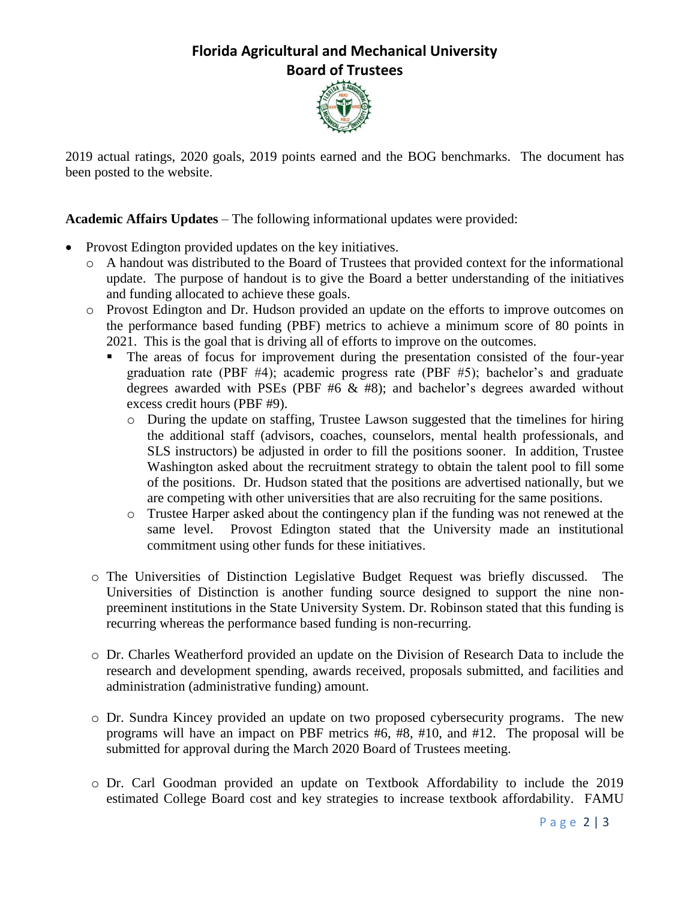# **Florida Agricultural and Mechanical University Board of Trustees**



2019 actual ratings, 2020 goals, 2019 points earned and the BOG benchmarks. The document has been posted to the website.

**Academic Affairs Updates** – The following informational updates were provided:

- Provost Edington provided updates on the key initiatives.
	- o A handout was distributed to the Board of Trustees that provided context for the informational update. The purpose of handout is to give the Board a better understanding of the initiatives and funding allocated to achieve these goals.
	- o Provost Edington and Dr. Hudson provided an update on the efforts to improve outcomes on the performance based funding (PBF) metrics to achieve a minimum score of 80 points in 2021. This is the goal that is driving all of efforts to improve on the outcomes.
		- The areas of focus for improvement during the presentation consisted of the four-year graduation rate (PBF #4); academic progress rate (PBF #5); bachelor's and graduate degrees awarded with PSEs (PBF #6 & #8); and bachelor's degrees awarded without excess credit hours (PBF #9).
			- o During the update on staffing, Trustee Lawson suggested that the timelines for hiring the additional staff (advisors, coaches, counselors, mental health professionals, and SLS instructors) be adjusted in order to fill the positions sooner. In addition, Trustee Washington asked about the recruitment strategy to obtain the talent pool to fill some of the positions. Dr. Hudson stated that the positions are advertised nationally, but we are competing with other universities that are also recruiting for the same positions.
			- o Trustee Harper asked about the contingency plan if the funding was not renewed at the same level. Provost Edington stated that the University made an institutional commitment using other funds for these initiatives.
	- o The Universities of Distinction Legislative Budget Request was briefly discussed. The Universities of Distinction is another funding source designed to support the nine nonpreeminent institutions in the State University System. Dr. Robinson stated that this funding is recurring whereas the performance based funding is non-recurring.
	- o Dr. Charles Weatherford provided an update on the Division of Research Data to include the research and development spending, awards received, proposals submitted, and facilities and administration (administrative funding) amount.
	- o Dr. Sundra Kincey provided an update on two proposed cybersecurity programs. The new programs will have an impact on PBF metrics #6, #8, #10, and #12. The proposal will be submitted for approval during the March 2020 Board of Trustees meeting.
	- o Dr. Carl Goodman provided an update on Textbook Affordability to include the 2019 estimated College Board cost and key strategies to increase textbook affordability. FAMU